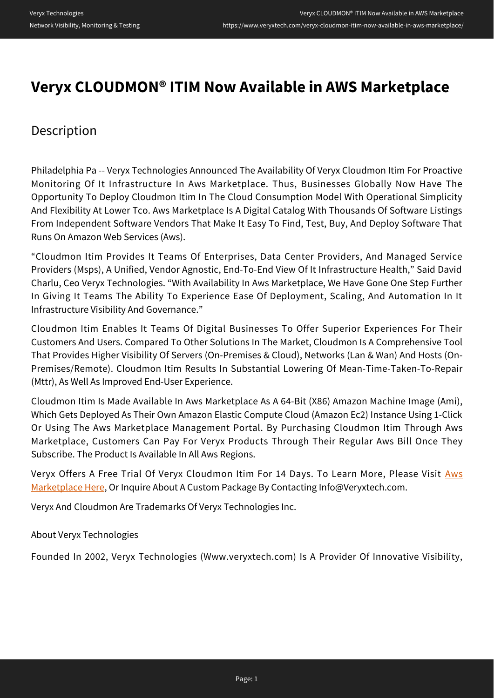## **Veryx CLOUDMON® ITIM Now Available in AWS Marketplace**

## Description

Philadelphia Pa -- Veryx Technologies Announced The Availability Of Veryx Cloudmon Itim For Proactive Monitoring Of It Infrastructure In Aws Marketplace. Thus, Businesses Globally Now Have The Opportunity To Deploy Cloudmon Itim In The Cloud Consumption Model With Operational Simplicity And Flexibility At Lower Tco. Aws Marketplace Is A Digital Catalog With Thousands Of Software Listings From Independent Software Vendors That Make It Easy To Find, Test, Buy, And Deploy Software That Runs On Amazon Web Services (Aws).

"Cloudmon Itim Provides It Teams Of Enterprises, Data Center Providers, And Managed Service Providers (Msps), A Unified, Vendor Agnostic, End-To-End View Of It Infrastructure Health," Said David Charlu, Ceo Veryx Technologies. "With Availability In Aws Marketplace, We Have Gone One Step Further In Giving It Teams The Ability To Experience Ease Of Deployment, Scaling, And Automation In It Infrastructure Visibility And Governance."

Cloudmon Itim Enables It Teams Of Digital Businesses To Offer Superior Experiences For Their Customers And Users. Compared To Other Solutions In The Market, Cloudmon Is A Comprehensive Tool That Provides Higher Visibility Of Servers (On-Premises & Cloud), Networks (Lan & Wan) And Hosts (On-Premises/Remote). Cloudmon Itim Results In Substantial Lowering Of Mean-Time-Taken-To-Repair (Mttr), As Well As Improved End-User Experience.

Cloudmon Itim Is Made Available In Aws Marketplace As A 64-Bit (X86) Amazon Machine Image (Ami), Which Gets Deployed As Their Own Amazon Elastic Compute Cloud (Amazon Ec2) Instance Using 1-Click Or Using The Aws Marketplace Management Portal. By Purchasing Cloudmon Itim Through Aws Marketplace, Customers Can Pay For Veryx Products Through Their Regular Aws Bill Once They Subscribe. The Product Is Available In All Aws Regions.

Veryx Offers A Free Trial Of Veryx Cloudmon Itim For 14 Days. To Learn More, Please Visit [Aws](https://aws.amazon.com/marketplace/search/results?x=0&y=0&searchTerms=cloudmon) [Marketplace Here,](https://aws.amazon.com/marketplace/search/results?x=0&y=0&searchTerms=cloudmon) Or Inquire About A Custom Package By Contacting Info@Veryxtech.com.

Veryx And Cloudmon Are Trademarks Of Veryx Technologies Inc.

About Veryx Technologies

Founded In 2002, Veryx Technologies (Www.veryxtech.com) Is A Provider Of Innovative Visibility,